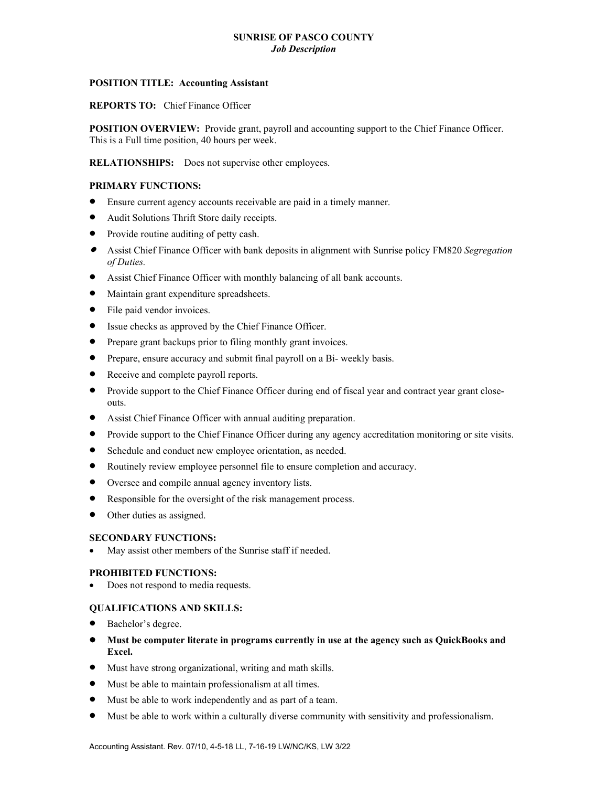# **SUNRISE OF PASCO COUNTY** *Job Description*

### **POSITION TITLE: Accounting Assistant**

**REPORTS TO:** Chief Finance Officer

**POSITION OVERVIEW:** Provide grant, payroll and accounting support to the Chief Finance Officer. This is a Full time position, 40 hours per week.

**RELATIONSHIPS:** Does not supervise other employees.

## **PRIMARY FUNCTIONS:**

- Ensure current agency accounts receivable are paid in a timely manner.
- Audit Solutions Thrift Store daily receipts.
- Provide routine auditing of petty cash.
- Assist Chief Finance Officer with bank deposits in alignment with Sunrise policy FM820 *Segregation of Duties.*
- Assist Chief Finance Officer with monthly balancing of all bank accounts.
- Maintain grant expenditure spreadsheets.
- File paid vendor invoices.
- Issue checks as approved by the Chief Finance Officer.
- Prepare grant backups prior to filing monthly grant invoices.
- Prepare, ensure accuracy and submit final payroll on a Bi- weekly basis.
- Receive and complete payroll reports.
- Provide support to the Chief Finance Officer during end of fiscal year and contract year grant closeouts.
- Assist Chief Finance Officer with annual auditing preparation.
- Provide support to the Chief Finance Officer during any agency accreditation monitoring or site visits.
- Schedule and conduct new employee orientation, as needed.
- Routinely review employee personnel file to ensure completion and accuracy.
- Oversee and compile annual agency inventory lists.
- Responsible for the oversight of the risk management process.
- Other duties as assigned.

#### **SECONDARY FUNCTIONS:**

May assist other members of the Sunrise staff if needed.

#### **PROHIBITED FUNCTIONS:**

Does not respond to media requests.

#### **QUALIFICATIONS AND SKILLS:**

- Bachelor's degree.
- **Must be computer literate in programs currently in use at the agency such as QuickBooks and Excel.**
- Must have strong organizational, writing and math skills.
- Must be able to maintain professionalism at all times.
- Must be able to work independently and as part of a team.
- Must be able to work within a culturally diverse community with sensitivity and professionalism.